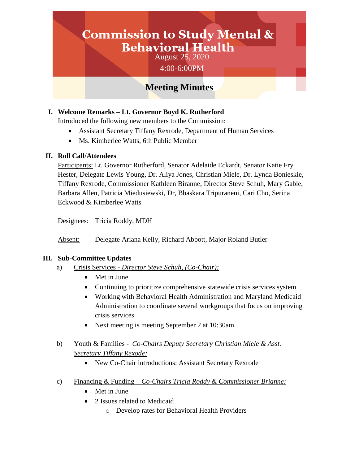# **Commission to Study Mental & Behavioral Health**

August 25, 2020 4:00-6:00PM

# **Meeting Minutes**

# **I. Welcome Remarks – Lt. Governor Boyd K. Rutherford**

Introduced the following new members to the Commission:

- Assistant Secretary Tiffany Rexrode, Department of Human Services
- Ms. Kimberlee Watts, 6th Public Member

### **II. Roll Call/Attendees**

Participants: Lt. Governor Rutherford, Senator Adelaide Eckardt, Senator Katie Fry Hester, Delegate Lewis Young, Dr. Aliya Jones, Christian Miele, Dr. Lynda Bonieskie, Tiffany Rexrode, Commissioner Kathleen Biranne, Director Steve Schuh, Mary Gable, Barbara Allen, Patricia Miedusiewski, Dr, Bhaskara Tripuraneni, Cari Cho, Serina Eckwood & Kimberlee Watts

Designees: Tricia Roddy, MDH

Absent: Delegate Ariana Kelly, Richard Abbott, Major Roland Butler

#### **III. Sub-Committee Updates**

- a) Crisis Services *Director Steve Schuh, (Co-Chair):*
	- Met in June
	- Continuing to prioritize comprehensive statewide crisis services system
	- Working with Behavioral Health Administration and Maryland Medicaid Administration to coordinate several workgroups that focus on improving crisis services
	- Next meeting is meeting September 2 at 10:30am
- b) Youth & Families *Co-Chairs Deputy Secretary Christian Miele & Asst. Secretary Tiffany Rexode:*
	- New Co-Chair introductions: Assistant Secretary Rexrode
- c) Financing & Funding *Co-Chairs Tricia Roddy & Commissioner Brianne:*
	- Met in June
	- 2 Issues related to Medicaid
		- o Develop rates for Behavioral Health Providers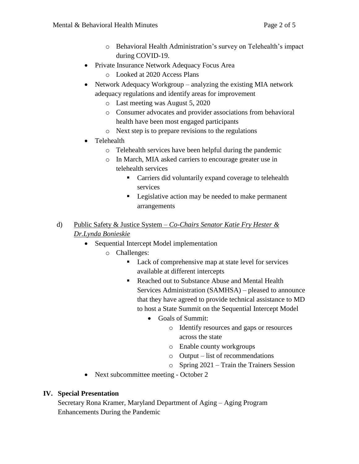- o Behavioral Health Administration's survey on Telehealth's impact during COVID-19.
- Private Insurance Network Adequacy Focus Area
	- o Looked at 2020 Access Plans
- Network Adequacy Workgroup analyzing the existing MIA network adequacy regulations and identify areas for improvement
	- o Last meeting was August 5, 2020
	- o Consumer advocates and provider associations from behavioral health have been most engaged participants
	- o Next step is to prepare revisions to the regulations
- Telehealth
	- o Telehealth services have been helpful during the pandemic
	- o In March, MIA asked carriers to encourage greater use in telehealth services
		- **Carriers did voluntarily expand coverage to telehealth** services
		- **Legislative action may be needed to make permanent** arrangements
- d) Public Safety & Justice System *Co-Chairs Senator Katie Fry Hester & Dr.Lynda Bonieskie*
	- Sequential Intercept Model implementation
		- o Challenges:
			- Lack of comprehensive map at state level for services available at different intercepts
			- Reached out to Substance Abuse and Mental Health Services Administration (SAMHSA) – pleased to announce that they have agreed to provide technical assistance to MD to host a State Summit on the Sequential Intercept Model
				- Goals of Summit:
					- o Identify resources and gaps or resources across the state
					- o Enable county workgroups
					- o Output list of recommendations
					- o Spring 2021 Train the Trainers Session
	- Next subcommittee meeting October 2

# **IV. Special Presentation**

Secretary Rona Kramer, Maryland Department of Aging – Aging Program Enhancements During the Pandemic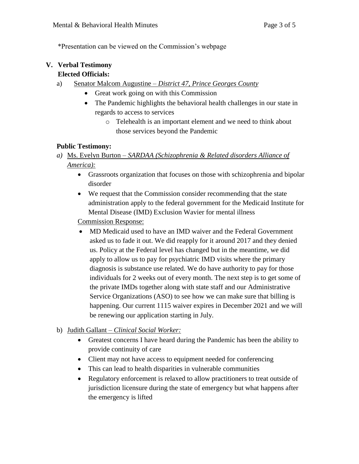\*Presentation can be viewed on the Commission's webpage

# **V. Verbal Testimony**

## **Elected Officials:**

- a) Senator Malcom Augustine *District 47, Prince Georges County*
	- Great work going on with this Commission
	- The Pandemic highlights the behavioral health challenges in our state in regards to access to services
		- o Telehealth is an important element and we need to think about those services beyond the Pandemic

### **Public Testimony:**

- *a)* Ms. Evelyn Burton *SARDAA (Schizophrenia & Related disorders Alliance of America):*
	- Grassroots organization that focuses on those with schizophrenia and bipolar disorder
	- We request that the Commission consider recommending that the state administration apply to the federal government for the Medicaid Institute for Mental Disease (IMD) Exclusion Wavier for mental illness

Commission Response:

- MD Medicaid used to have an IMD waiver and the Federal Government asked us to fade it out. We did reapply for it around 2017 and they denied us. Policy at the Federal level has changed but in the meantime, we did apply to allow us to pay for psychiatric IMD visits where the primary diagnosis is substance use related. We do have authority to pay for those individuals for 2 weeks out of every month. The next step is to get some of the private IMDs together along with state staff and our Administrative Service Organizations (ASO) to see how we can make sure that billing is happening. Our current 1115 waiver expires in December 2021 and we will be renewing our application starting in July.
- b) Judith Gallant *Clinical Social Worker:*
	- Greatest concerns I have heard during the Pandemic has been the ability to provide continuity of care
	- Client may not have access to equipment needed for conferencing
	- This can lead to health disparities in vulnerable communities
	- Regulatory enforcement is relaxed to allow practitioners to treat outside of jurisdiction licensure during the state of emergency but what happens after the emergency is lifted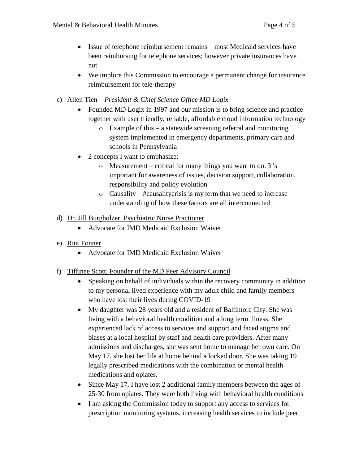- Issue of telephone reimbursement remains most Medicaid services have been reimbursing for telephone services; however private insurances have not
- We implore this Commission to encourage a permanent change for insurance reimbursement for tele-therapy
- c) Allen Tien *President & Chief Science Office MD Logix*
	- Founded MD Logix in 1997 and our mission is to bring science and practice together with user friendly, reliable, affordable cloud information technology
		- o Example of this a statewide screening referral and monitoring system implemented in emergency departments, primary care and schools in Pennsylvania
	- 2 concepts I want to emphasize:
		- o Measurement critical for many things you want to do. It's important for awareness of issues, decision support, collaboration, responsibility and policy evolution
		- $\circ$  Causality #causality crisis is my term that we need to increase understanding of how these factors are all interconnected
- d) Dr. Jill Burgholzer, Psychiatric Nurse Practioner
	- Advocate for IMD Medicaid Exclusion Waiver
- e) Rita Tonner
	- Advocate for IMD Medicaid Exclusion Waiver
- f) Tiffinee Scott, Founder of the MD Peer Advisory Council
	- Speaking on behalf of individuals within the recovery community in addition to my personal lived experience with my adult child and family members who have lost their lives during COVID-19
	- My daughter was 28 years old and a resident of Baltimore City. She was living with a behavioral health condition and a long term illness. She experienced lack of access to services and support and faced stigma and biases at a local hospital by staff and health care providers. After many admissions and discharges, she was sent home to manage her own care. On May 17, she lost her life at home behind a locked door. She was taking 19 legally prescribed medications with the combination or mental health medications and opiates.
	- Since May 17, I have lost 2 additional family members between the ages of 25-30 from opiates. They were both living with behavioral health conditions
	- I am asking the Commission today to support any access to services for prescription monitoring systems, increasing health services to include peer